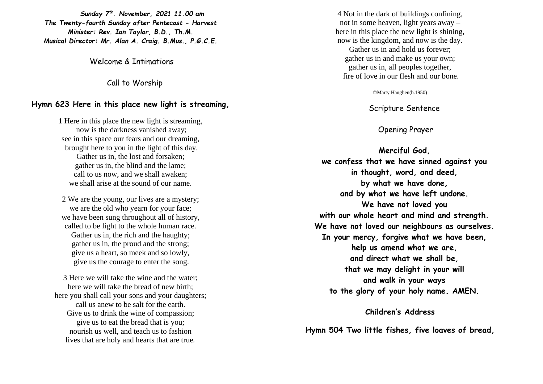*Sunday 7 th. November, 2021 11.00 am The Twenty-fourth Sunday after Pentecost - Harvest Minister: Rev. Ian Taylor, B.D., Th.M. Musical Director: Mr. Alan A. Craig. B.Mus., P.G.C.E.*

Welcome & Intimations

Call to Worship

#### **Hymn 623 Here in this place new light is streaming,**

1 Here in this place the new light is streaming, now is the darkness vanished away; see in this space our fears and our dreaming, brought here to you in the light of this day. Gather us in, the lost and forsaken; gather us in, the blind and the lame; call to us now, and we shall awaken; we shall arise at the sound of our name.

2 We are the young, our lives are a mystery; we are the old who yearn for your face; we have been sung throughout all of history, called to be light to the whole human race. Gather us in, the rich and the haughty; gather us in, the proud and the strong; give us a heart, so meek and so lowly, give us the courage to enter the song.

3 Here we will take the wine and the water; here we will take the bread of new birth; here you shall call your sons and your daughters; call us anew to be salt for the earth. Give us to drink the wine of compassion; give us to eat the bread that is you; nourish us well, and teach us to fashion lives that are holy and hearts that are true*.*

4 Not in the dark of buildings confining, not in some heaven, light years away – here in this place the new light is shining, now is the kingdom, and now is the day. Gather us in and hold us forever; gather us in and make us your own; gather us in, all peoples together, fire of love in our flesh and our bone.

©Marty Haughen(b.1950)

Scripture Sentence

### Opening Prayer

**Merciful God, we confess that we have sinned against you in thought, word, and deed, by what we have done, and by what we have left undone. We have not loved you with our whole heart and mind and strength. We have not loved our neighbours as ourselves. In your mercy, forgive what we have been, help us amend what we are, and direct what we shall be, that we may delight in your will and walk in your ways to the glory of your holy name. AMEN.**

#### **Children's Address**

**Hymn 504 Two little fishes, five loaves of bread,**